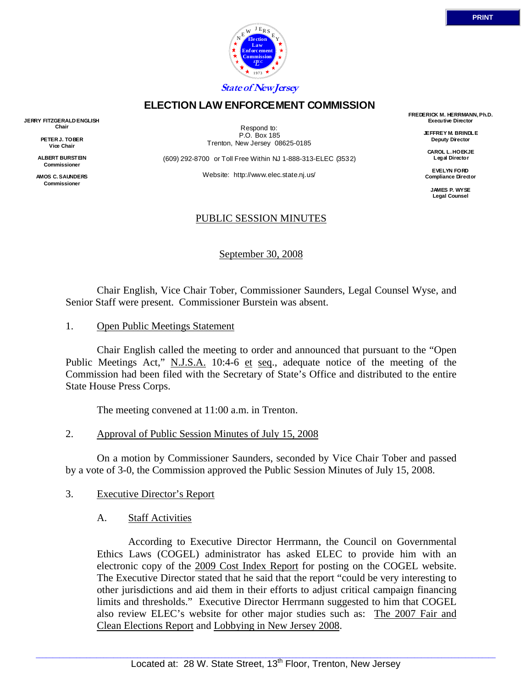

# **ELECTION LAW ENFORCEMENT COMMISSION**

**JERRY FITZGERALD ENGLISH Chair** 

> **PETER J. TOBER Vice Chair**

**ALBERT BURSTEIN Commissioner** 

**AMOS C. SAUNDERS Commissioner** 

Respond to: P.O. Box 185 Trenton, New Jersey 08625-0185

(609) 292-8700 or Toll Free Within NJ 1-888-313-ELEC (3532)

Website: http://www.elec.state.nj.us/

### PUBLIC SESSION MINUTES

September 30, 2008

 Chair English, Vice Chair Tober, Commissioner Saunders, Legal Counsel Wyse, and Senior Staff were present. Commissioner Burstein was absent.

1. Open Public Meetings Statement

 Chair English called the meeting to order and announced that pursuant to the "Open Public Meetings Act," N.J.S.A. 10:4-6 et seq., adequate notice of the meeting of the Commission had been filed with the Secretary of State's Office and distributed to the entire State House Press Corps.

The meeting convened at 11:00 a.m. in Trenton.

2. Approval of Public Session Minutes of July 15, 2008

 On a motion by Commissioner Saunders, seconded by Vice Chair Tober and passed by a vote of 3-0, the Commission approved the Public Session Minutes of July 15, 2008.

- 3. Executive Director's Report
	- A. Staff Activities

 According to Executive Director Herrmann, the Council on Governmental Ethics Laws (COGEL) administrator has asked ELEC to provide him with an electronic copy of the 2009 Cost Index Report for posting on the COGEL website. The Executive Director stated that he said that the report "could be very interesting to other jurisdictions and aid them in their efforts to adjust critical campaign financing limits and thresholds." Executive Director Herrmann suggested to him that COGEL also review ELEC's website for other major studies such as: The 2007 Fair and Clean Elections Report and Lobbying in New Jersey 2008.

**FREDERICK M. HERRMANN, Ph.D. Executive Director** 

> **JEFFREY M. BRINDLE Deputy Director**

**CAROL L. HOEKJE Legal Director** 

**EVELYN FORD Compliance Director** 

> **JAMES P. WYSE Legal Counsel**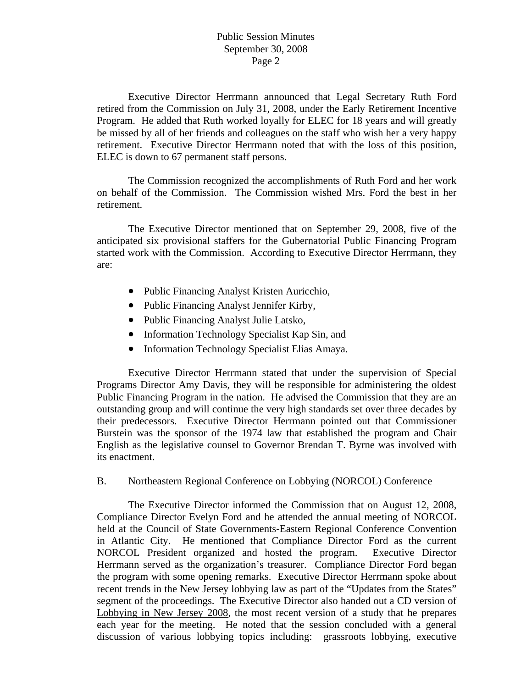Executive Director Herrmann announced that Legal Secretary Ruth Ford retired from the Commission on July 31, 2008, under the Early Retirement Incentive Program. He added that Ruth worked loyally for ELEC for 18 years and will greatly be missed by all of her friends and colleagues on the staff who wish her a very happy retirement. Executive Director Herrmann noted that with the loss of this position, ELEC is down to 67 permanent staff persons.

 The Commission recognized the accomplishments of Ruth Ford and her work on behalf of the Commission. The Commission wished Mrs. Ford the best in her retirement.

 The Executive Director mentioned that on September 29, 2008, five of the anticipated six provisional staffers for the Gubernatorial Public Financing Program started work with the Commission. According to Executive Director Herrmann, they are:

- Public Financing Analyst Kristen Auricchio,
- Public Financing Analyst Jennifer Kirby,
- Public Financing Analyst Julie Latsko,
- Information Technology Specialist Kap Sin, and
- Information Technology Specialist Elias Amaya.

 Executive Director Herrmann stated that under the supervision of Special Programs Director Amy Davis, they will be responsible for administering the oldest Public Financing Program in the nation. He advised the Commission that they are an outstanding group and will continue the very high standards set over three decades by their predecessors. Executive Director Herrmann pointed out that Commissioner Burstein was the sponsor of the 1974 law that established the program and Chair English as the legislative counsel to Governor Brendan T. Byrne was involved with its enactment.

#### B. Northeastern Regional Conference on Lobbying (NORCOL) Conference

 The Executive Director informed the Commission that on August 12, 2008, Compliance Director Evelyn Ford and he attended the annual meeting of NORCOL held at the Council of State Governments-Eastern Regional Conference Convention in Atlantic City. He mentioned that Compliance Director Ford as the current NORCOL President organized and hosted the program. Executive Director Herrmann served as the organization's treasurer. Compliance Director Ford began the program with some opening remarks. Executive Director Herrmann spoke about recent trends in the New Jersey lobbying law as part of the "Updates from the States" segment of the proceedings. The Executive Director also handed out a CD version of Lobbying in New Jersey 2008, the most recent version of a study that he prepares each year for the meeting. He noted that the session concluded with a general discussion of various lobbying topics including: grassroots lobbying, executive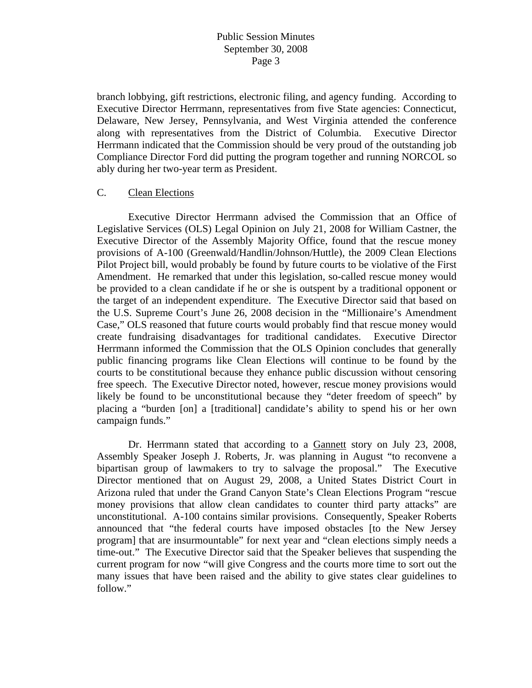branch lobbying, gift restrictions, electronic filing, and agency funding. According to Executive Director Herrmann, representatives from five State agencies: Connecticut, Delaware, New Jersey, Pennsylvania, and West Virginia attended the conference along with representatives from the District of Columbia. Executive Director Herrmann indicated that the Commission should be very proud of the outstanding job Compliance Director Ford did putting the program together and running NORCOL so ably during her two-year term as President.

#### C. Clean Elections

 Executive Director Herrmann advised the Commission that an Office of Legislative Services (OLS) Legal Opinion on July 21, 2008 for William Castner, the Executive Director of the Assembly Majority Office, found that the rescue money provisions of A-100 (Greenwald/Handlin/Johnson/Huttle), the 2009 Clean Elections Pilot Project bill, would probably be found by future courts to be violative of the First Amendment. He remarked that under this legislation, so-called rescue money would be provided to a clean candidate if he or she is outspent by a traditional opponent or the target of an independent expenditure. The Executive Director said that based on the U.S. Supreme Court's June 26, 2008 decision in the "Millionaire's Amendment Case," OLS reasoned that future courts would probably find that rescue money would create fundraising disadvantages for traditional candidates. Executive Director Herrmann informed the Commission that the OLS Opinion concludes that generally public financing programs like Clean Elections will continue to be found by the courts to be constitutional because they enhance public discussion without censoring free speech. The Executive Director noted, however, rescue money provisions would likely be found to be unconstitutional because they "deter freedom of speech" by placing a "burden [on] a [traditional] candidate's ability to spend his or her own campaign funds."

 Dr. Herrmann stated that according to a Gannett story on July 23, 2008, Assembly Speaker Joseph J. Roberts, Jr. was planning in August "to reconvene a bipartisan group of lawmakers to try to salvage the proposal." The Executive Director mentioned that on August 29, 2008, a United States District Court in Arizona ruled that under the Grand Canyon State's Clean Elections Program "rescue money provisions that allow clean candidates to counter third party attacks" are unconstitutional. A-100 contains similar provisions. Consequently, Speaker Roberts announced that "the federal courts have imposed obstacles [to the New Jersey program] that are insurmountable" for next year and "clean elections simply needs a time-out." The Executive Director said that the Speaker believes that suspending the current program for now "will give Congress and the courts more time to sort out the many issues that have been raised and the ability to give states clear guidelines to follow."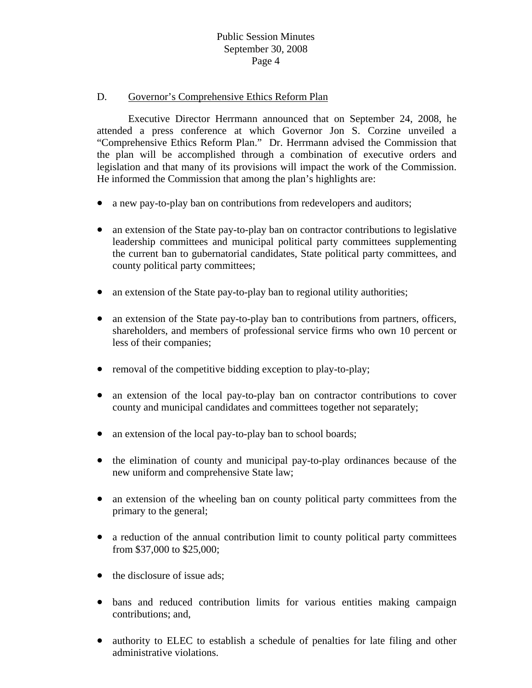#### D. Governor's Comprehensive Ethics Reform Plan

 Executive Director Herrmann announced that on September 24, 2008, he attended a press conference at which Governor Jon S. Corzine unveiled a "Comprehensive Ethics Reform Plan." Dr. Herrmann advised the Commission that the plan will be accomplished through a combination of executive orders and legislation and that many of its provisions will impact the work of the Commission. He informed the Commission that among the plan's highlights are:

- a new pay-to-play ban on contributions from redevelopers and auditors;
- an extension of the State pay-to-play ban on contractor contributions to legislative leadership committees and municipal political party committees supplementing the current ban to gubernatorial candidates, State political party committees, and county political party committees;
- an extension of the State pay-to-play ban to regional utility authorities;
- an extension of the State pay-to-play ban to contributions from partners, officers, shareholders, and members of professional service firms who own 10 percent or less of their companies;
- removal of the competitive bidding exception to play-to-play;
- an extension of the local pay-to-play ban on contractor contributions to cover county and municipal candidates and committees together not separately;
- an extension of the local pay-to-play ban to school boards;
- the elimination of county and municipal pay-to-play ordinances because of the new uniform and comprehensive State law;
- an extension of the wheeling ban on county political party committees from the primary to the general;
- a reduction of the annual contribution limit to county political party committees from \$37,000 to \$25,000;
- the disclosure of issue ads;
- bans and reduced contribution limits for various entities making campaign contributions; and,
- authority to ELEC to establish a schedule of penalties for late filing and other administrative violations.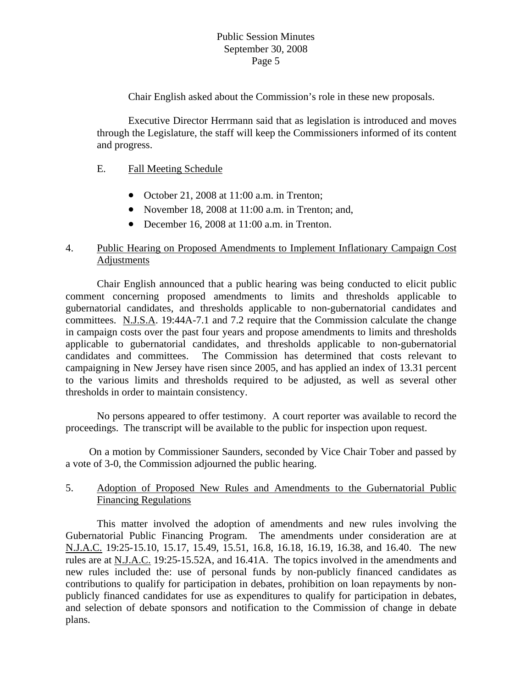Chair English asked about the Commission's role in these new proposals.

 Executive Director Herrmann said that as legislation is introduced and moves through the Legislature, the staff will keep the Commissioners informed of its content and progress.

#### E. Fall Meeting Schedule

- October 21, 2008 at 11:00 a.m. in Trenton;
- November 18, 2008 at 11:00 a.m. in Trenton; and,
- December 16, 2008 at 11:00 a.m. in Trenton.

# 4. Public Hearing on Proposed Amendments to Implement Inflationary Campaign Cost Adjustments

 Chair English announced that a public hearing was being conducted to elicit public comment concerning proposed amendments to limits and thresholds applicable to gubernatorial candidates, and thresholds applicable to non-gubernatorial candidates and committees. N.J.S.A. 19:44A-7.1 and 7.2 require that the Commission calculate the change in campaign costs over the past four years and propose amendments to limits and thresholds applicable to gubernatorial candidates, and thresholds applicable to non-gubernatorial candidates and committees. The Commission has determined that costs relevant to campaigning in New Jersey have risen since 2005, and has applied an index of 13.31 percent to the various limits and thresholds required to be adjusted, as well as several other thresholds in order to maintain consistency.

 No persons appeared to offer testimony. A court reporter was available to record the proceedings. The transcript will be available to the public for inspection upon request.

 On a motion by Commissioner Saunders, seconded by Vice Chair Tober and passed by a vote of 3-0, the Commission adjourned the public hearing.

# 5. Adoption of Proposed New Rules and Amendments to the Gubernatorial Public Financing Regulations

 This matter involved the adoption of amendments and new rules involving the Gubernatorial Public Financing Program. The amendments under consideration are at N.J.A.C. 19:25-15.10, 15.17, 15.49, 15.51, 16.8, 16.18, 16.19, 16.38, and 16.40. The new rules are at N.J.A.C. 19:25-15.52A, and 16.41A. The topics involved in the amendments and new rules included the: use of personal funds by non-publicly financed candidates as contributions to qualify for participation in debates, prohibition on loan repayments by nonpublicly financed candidates for use as expenditures to qualify for participation in debates, and selection of debate sponsors and notification to the Commission of change in debate plans.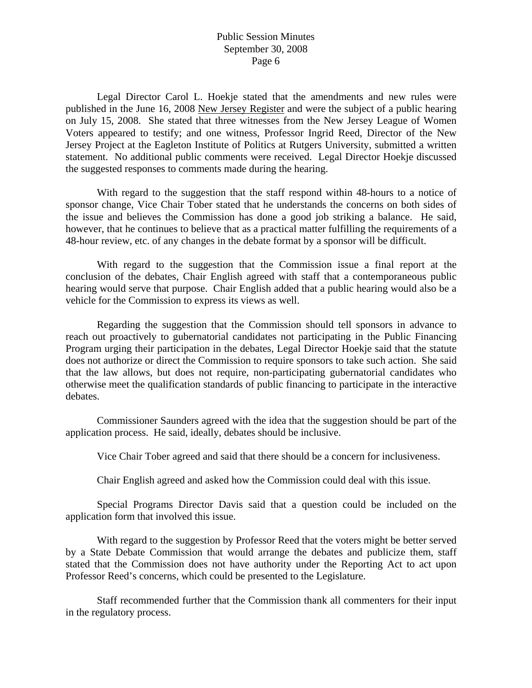Legal Director Carol L. Hoekje stated that the amendments and new rules were published in the June 16, 2008 New Jersey Register and were the subject of a public hearing on July 15, 2008. She stated that three witnesses from the New Jersey League of Women Voters appeared to testify; and one witness, Professor Ingrid Reed, Director of the New Jersey Project at the Eagleton Institute of Politics at Rutgers University, submitted a written statement. No additional public comments were received. Legal Director Hoekje discussed the suggested responses to comments made during the hearing.

 With regard to the suggestion that the staff respond within 48-hours to a notice of sponsor change, Vice Chair Tober stated that he understands the concerns on both sides of the issue and believes the Commission has done a good job striking a balance. He said, however, that he continues to believe that as a practical matter fulfilling the requirements of a 48-hour review, etc. of any changes in the debate format by a sponsor will be difficult.

 With regard to the suggestion that the Commission issue a final report at the conclusion of the debates, Chair English agreed with staff that a contemporaneous public hearing would serve that purpose. Chair English added that a public hearing would also be a vehicle for the Commission to express its views as well.

 Regarding the suggestion that the Commission should tell sponsors in advance to reach out proactively to gubernatorial candidates not participating in the Public Financing Program urging their participation in the debates, Legal Director Hoekje said that the statute does not authorize or direct the Commission to require sponsors to take such action. She said that the law allows, but does not require, non-participating gubernatorial candidates who otherwise meet the qualification standards of public financing to participate in the interactive debates.

 Commissioner Saunders agreed with the idea that the suggestion should be part of the application process. He said, ideally, debates should be inclusive.

Vice Chair Tober agreed and said that there should be a concern for inclusiveness.

Chair English agreed and asked how the Commission could deal with this issue.

 Special Programs Director Davis said that a question could be included on the application form that involved this issue.

 With regard to the suggestion by Professor Reed that the voters might be better served by a State Debate Commission that would arrange the debates and publicize them, staff stated that the Commission does not have authority under the Reporting Act to act upon Professor Reed's concerns, which could be presented to the Legislature.

 Staff recommended further that the Commission thank all commenters for their input in the regulatory process.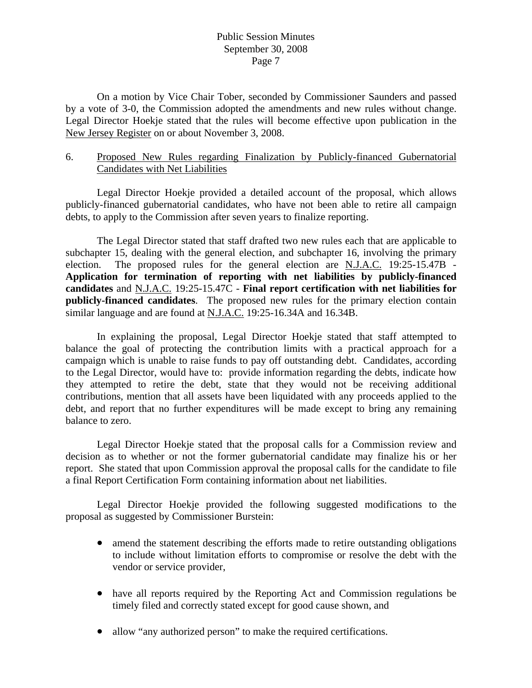On a motion by Vice Chair Tober, seconded by Commissioner Saunders and passed by a vote of 3-0, the Commission adopted the amendments and new rules without change. Legal Director Hoekje stated that the rules will become effective upon publication in the New Jersey Register on or about November 3, 2008.

### 6. Proposed New Rules regarding Finalization by Publicly-financed Gubernatorial Candidates with Net Liabilities

 Legal Director Hoekje provided a detailed account of the proposal, which allows publicly-financed gubernatorial candidates, who have not been able to retire all campaign debts, to apply to the Commission after seven years to finalize reporting.

 The Legal Director stated that staff drafted two new rules each that are applicable to subchapter 15, dealing with the general election, and subchapter 16, involving the primary election. The proposed rules for the general election are N.J.A.C. 19:25-15.47B - **Application for termination of reporting with net liabilities by publicly-financed candidates** and N.J.A.C. 19:25-15.47C - **Final report certification with net liabilities for publicly-financed candidates**. The proposed new rules for the primary election contain similar language and are found at N.J.A.C. 19:25-16.34A and 16.34B.

 In explaining the proposal, Legal Director Hoekje stated that staff attempted to balance the goal of protecting the contribution limits with a practical approach for a campaign which is unable to raise funds to pay off outstanding debt. Candidates, according to the Legal Director, would have to: provide information regarding the debts, indicate how they attempted to retire the debt, state that they would not be receiving additional contributions, mention that all assets have been liquidated with any proceeds applied to the debt, and report that no further expenditures will be made except to bring any remaining balance to zero.

 Legal Director Hoekje stated that the proposal calls for a Commission review and decision as to whether or not the former gubernatorial candidate may finalize his or her report. She stated that upon Commission approval the proposal calls for the candidate to file a final Report Certification Form containing information about net liabilities.

 Legal Director Hoekje provided the following suggested modifications to the proposal as suggested by Commissioner Burstein:

- amend the statement describing the efforts made to retire outstanding obligations to include without limitation efforts to compromise or resolve the debt with the vendor or service provider,
- have all reports required by the Reporting Act and Commission regulations be timely filed and correctly stated except for good cause shown, and
- allow "any authorized person" to make the required certifications.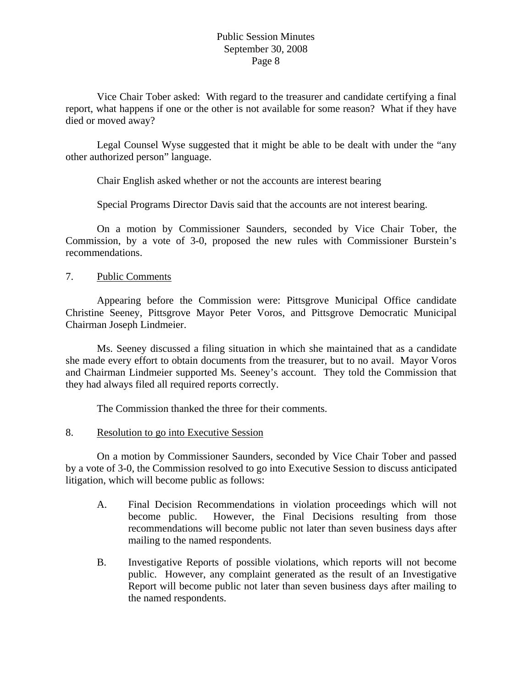Vice Chair Tober asked: With regard to the treasurer and candidate certifying a final report, what happens if one or the other is not available for some reason? What if they have died or moved away?

 Legal Counsel Wyse suggested that it might be able to be dealt with under the "any other authorized person" language.

Chair English asked whether or not the accounts are interest bearing

Special Programs Director Davis said that the accounts are not interest bearing.

 On a motion by Commissioner Saunders, seconded by Vice Chair Tober, the Commission, by a vote of 3-0, proposed the new rules with Commissioner Burstein's recommendations.

### 7. Public Comments

 Appearing before the Commission were: Pittsgrove Municipal Office candidate Christine Seeney, Pittsgrove Mayor Peter Voros, and Pittsgrove Democratic Municipal Chairman Joseph Lindmeier.

 Ms. Seeney discussed a filing situation in which she maintained that as a candidate she made every effort to obtain documents from the treasurer, but to no avail. Mayor Voros and Chairman Lindmeier supported Ms. Seeney's account. They told the Commission that they had always filed all required reports correctly.

The Commission thanked the three for their comments.

### 8. Resolution to go into Executive Session

 On a motion by Commissioner Saunders, seconded by Vice Chair Tober and passed by a vote of 3-0, the Commission resolved to go into Executive Session to discuss anticipated litigation, which will become public as follows:

- A. Final Decision Recommendations in violation proceedings which will not become public. However, the Final Decisions resulting from those recommendations will become public not later than seven business days after mailing to the named respondents.
- B. Investigative Reports of possible violations, which reports will not become public. However, any complaint generated as the result of an Investigative Report will become public not later than seven business days after mailing to the named respondents.